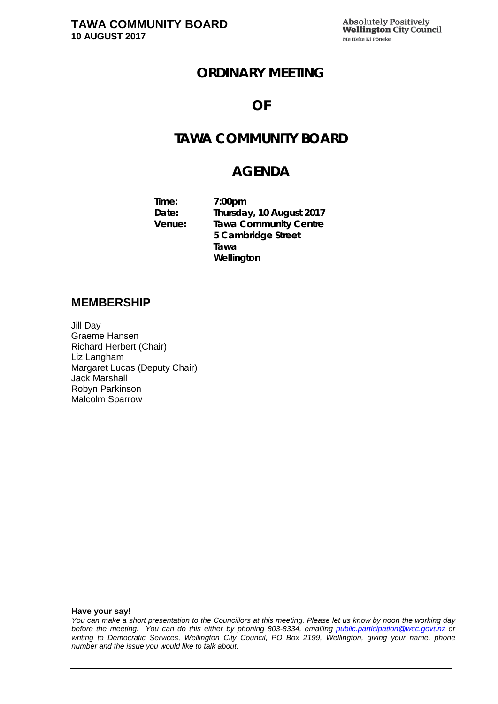## **ORDINARY MEETING**

### **OF**

# **TAWA COMMUNITY BOARD**

## **AGENDA**

| Time:  | 7:00 <sub>pm</sub>           |
|--------|------------------------------|
| Date:  | Thursday, 10 August 2017     |
| Venue: | <b>Tawa Community Centre</b> |
|        | 5 Cambridge Street           |
|        | Tawa                         |
|        | Wellington                   |

#### **MEMBERSHIP**

Jill Day Graeme Hansen Richard Herbert (Chair) Liz Langham Margaret Lucas (Deputy Chair) Jack Marshall Robyn Parkinson Malcolm Sparrow

**Have your say!**

*You can make a short presentation to the Councillors at this meeting. Please let us know by noon the working day before the meeting. You can do this either by phoning 803-8334, emailing public.participation@wcc.govt.nz or writing to Democratic Services, Wellington City Council, PO Box 2199, Wellington, giving your name, phone number and the issue you would like to talk about.*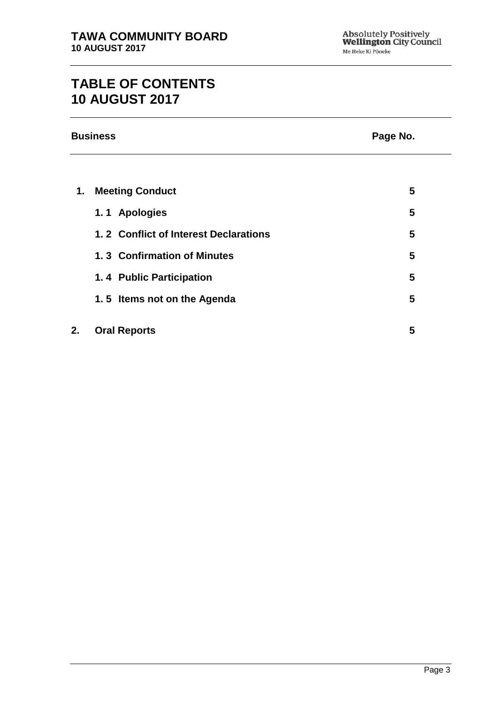# **TABLE OF CONTENTS 10 AUGUST 2017**

|    | <b>Business</b>                       | Page No. |  |
|----|---------------------------------------|----------|--|
|    |                                       |          |  |
| 1. | <b>Meeting Conduct</b>                | 5        |  |
|    | 1.1 Apologies                         | 5        |  |
|    | 1.2 Conflict of Interest Declarations | 5        |  |
|    | 1.3 Confirmation of Minutes           | 5        |  |
|    | 1.4 Public Participation              | 5        |  |
|    | 1.5 Items not on the Agenda           | 5        |  |
| 2. | <b>Oral Reports</b>                   | 5        |  |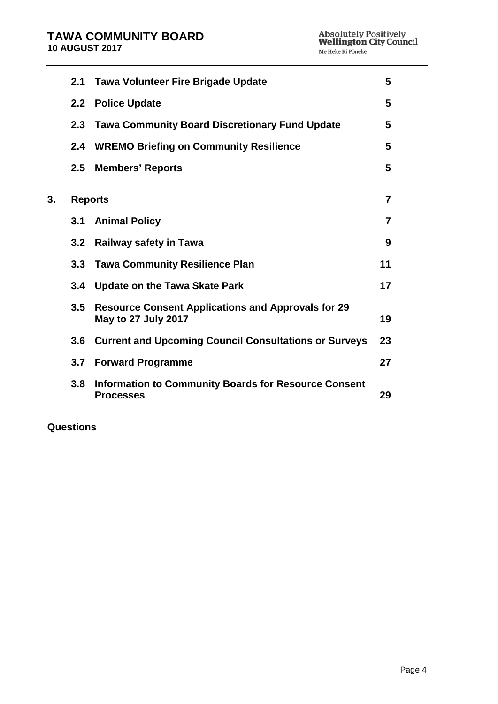|    | 2.1              | <b>Tawa Volunteer Fire Brigade Update</b>                                               | 5  |
|----|------------------|-----------------------------------------------------------------------------------------|----|
|    |                  | 2.2 Police Update                                                                       | 5  |
|    | 2.3 <sub>2</sub> | <b>Tawa Community Board Discretionary Fund Update</b>                                   | 5  |
|    | 2.4              | <b>WREMO Briefing on Community Resilience</b>                                           | 5  |
|    | 2.5              | <b>Members' Reports</b>                                                                 | 5  |
| 3. |                  | <b>Reports</b>                                                                          | 7  |
|    | 3.1              | <b>Animal Policy</b>                                                                    | 7  |
|    | 3.2 <sub>2</sub> | <b>Railway safety in Tawa</b>                                                           | 9  |
|    |                  | 3.3 Tawa Community Resilience Plan                                                      | 11 |
|    | 3.4              | <b>Update on the Tawa Skate Park</b>                                                    | 17 |
|    | 3.5              | <b>Resource Consent Applications and Approvals for 29</b><br><b>May to 27 July 2017</b> | 19 |
|    | 3.6              | <b>Current and Upcoming Council Consultations or Surveys</b>                            | 23 |
|    |                  | 3.7 Forward Programme                                                                   | 27 |
|    | 3.8              | <b>Information to Community Boards for Resource Consent</b><br><b>Processes</b>         | 29 |
|    |                  |                                                                                         |    |

**Questions**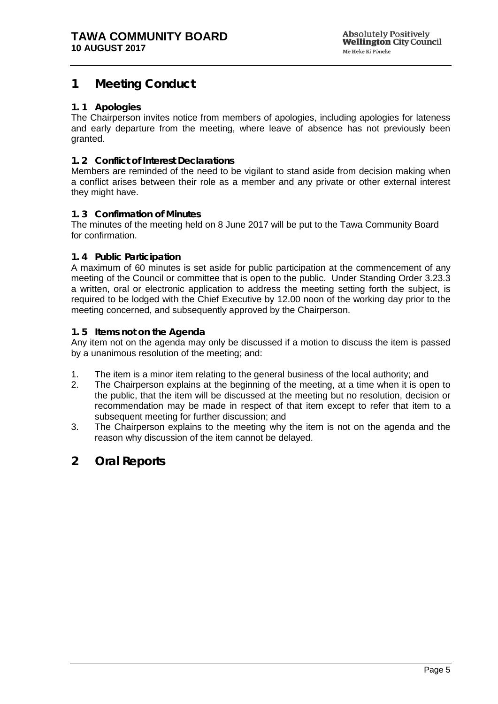## <span id="page-4-0"></span>**1 Meeting Conduct**

#### <span id="page-4-1"></span>**1. 1 Apologies**

The Chairperson invites notice from members of apologies, including apologies for lateness and early departure from the meeting, where leave of absence has not previously been granted.

#### <span id="page-4-2"></span>**1. 2 Conflict of Interest Declarations**

Members are reminded of the need to be vigilant to stand aside from decision making when a conflict arises between their role as a member and any private or other external interest they might have.

#### <span id="page-4-3"></span>**1. 3 Confirmation of Minutes**

The minutes of the meeting held on 8 June 2017 will be put to the Tawa Community Board for confirmation.

#### <span id="page-4-4"></span>**1. 4 Public Participation**

A maximum of 60 minutes is set aside for public participation at the commencement of any meeting of the Council or committee that is open to the public. Under Standing Order 3.23.3 a written, oral or electronic application to address the meeting setting forth the subject, is required to be lodged with the Chief Executive by 12.00 noon of the working day prior to the meeting concerned, and subsequently approved by the Chairperson.

#### <span id="page-4-5"></span>**1. 5 Items not on the Agenda**

Any item not on the agenda may only be discussed if a motion to discuss the item is passed by a unanimous resolution of the meeting; and:

- 1. The item is a minor item relating to the general business of the local authority; and
- 2. The Chairperson explains at the beginning of the meeting, at a time when it is open to the public, that the item will be discussed at the meeting but no resolution, decision or recommendation may be made in respect of that item except to refer that item to a subsequent meeting for further discussion; and
- 3. The Chairperson explains to the meeting why the item is not on the agenda and the reason why discussion of the item cannot be delayed.

### <span id="page-4-6"></span>**2 Oral Reports**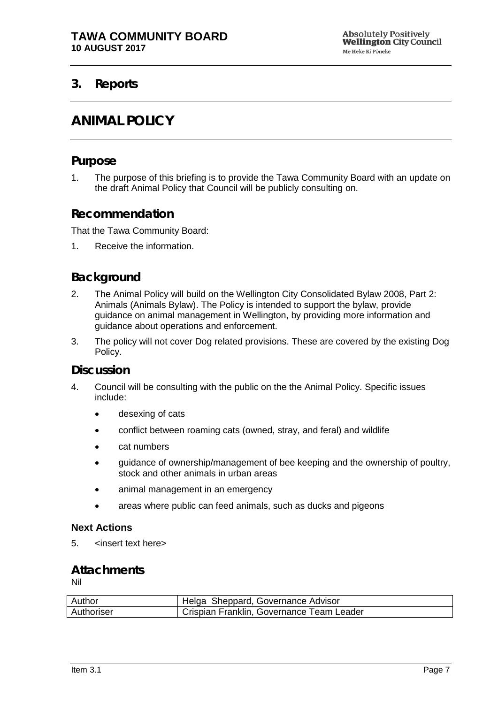### <span id="page-6-1"></span><span id="page-6-0"></span>**3. Reports**

## **ANIMAL POLICY**

#### **Purpose**

1. The purpose of this briefing is to provide the Tawa Community Board with an update on the draft Animal Policy that Council will be publicly consulting on.

### **Recommendation**

That the Tawa Community Board:

1. Receive the information.

### **Background**

- 2. The Animal Policy will build on the Wellington City Consolidated Bylaw 2008, Part 2: Animals (Animals Bylaw). The Policy is intended to support the bylaw, provide guidance on animal management in Wellington, by providing more information and guidance about operations and enforcement.
- 3. The policy will not cover Dog related provisions. These are covered by the existing Dog Policy.

#### **Discussion**

- 4. Council will be consulting with the public on the the Animal Policy. Specific issues include:
	- desexing of cats
	- conflict between roaming cats (owned, stray, and feral) and wildlife
	- cat numbers
	- guidance of ownership/management of bee keeping and the ownership of poultry, stock and other animals in urban areas
	- animal management in an emergency
	- areas where public can feed animals, such as ducks and pigeons

#### **Next Actions**

5. 
sinsert text here>

### **Attachments**

| Author     | Helga Sheppard, Governance Advisor        |
|------------|-------------------------------------------|
| Authoriser | Crispian Franklin, Governance Team Leader |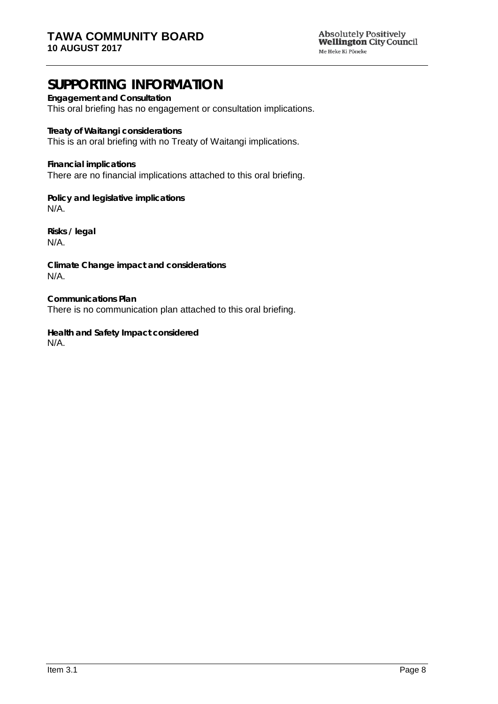Absolutely Positively<br>**Wellington** City Council Me Heke Ki Põneke

# **SUPPORTING INFORMATION**

**Engagement and Consultation** This oral briefing has no engagement or consultation implications.

**Treaty of Waitangi considerations** This is an oral briefing with no Treaty of Waitangi implications.

**Financial implications** There are no financial implications attached to this oral briefing.

**Policy and legislative implications** N/A.

**Risks / legal**  N/A.

**Climate Change impact and considerations** N/A.

**Communications Plan** There is no communication plan attached to this oral briefing.

**Health and Safety Impact considered** N/A.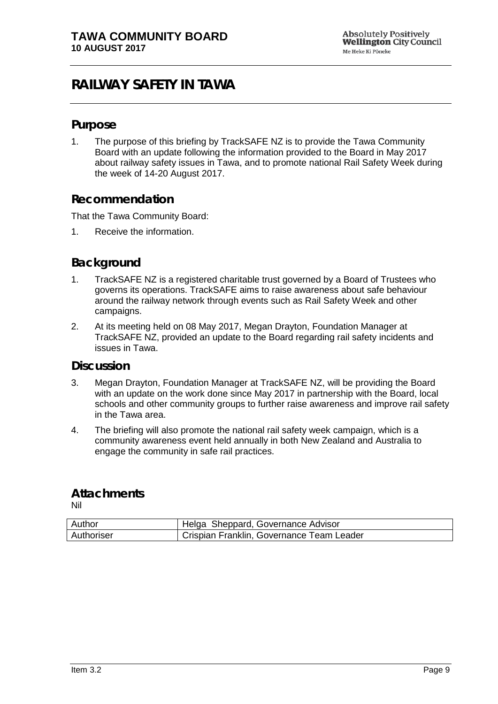# <span id="page-8-0"></span>**RAILWAY SAFETY IN TAWA**

### **Purpose**

1. The purpose of this briefing by TrackSAFE NZ is to provide the Tawa Community Board with an update following the information provided to the Board in May 2017 about railway safety issues in Tawa, and to promote national Rail Safety Week during the week of 14-20 August 2017.

### **Recommendation**

That the Tawa Community Board:

1. Receive the information.

## **Background**

- 1. TrackSAFE NZ is a registered charitable trust governed by a Board of Trustees who governs its operations. TrackSAFE aims to raise awareness about safe behaviour around the railway network through events such as Rail Safety Week and other campaigns.
- 2. At its meeting held on 08 May 2017, Megan Drayton, Foundation Manager at TrackSAFE NZ, provided an update to the Board regarding rail safety incidents and issues in Tawa.

### **Discussion**

- 3. Megan Drayton, Foundation Manager at TrackSAFE NZ, will be providing the Board with an update on the work done since May 2017 in partnership with the Board, local schools and other community groups to further raise awareness and improve rail safety in the Tawa area.
- 4. The briefing will also promote the national rail safety week campaign, which is a community awareness event held annually in both New Zealand and Australia to engage the community in safe rail practices.

### **Attachments**

| Author     | Helga Sheppard, Governance Advisor        |
|------------|-------------------------------------------|
| Authoriser | Crispian Franklin, Governance Team Leader |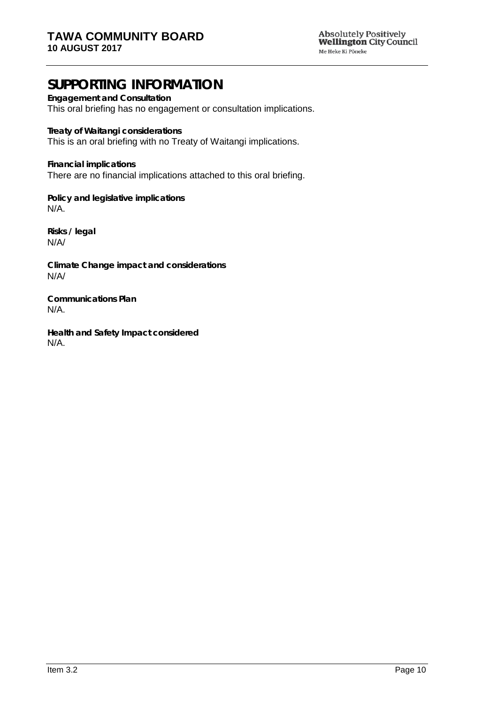Absolutely Positively<br>**Wellington** City Council Me Heke Ki Põneke

# **SUPPORTING INFORMATION**

**Engagement and Consultation** This oral briefing has no engagement or consultation implications.

**Treaty of Waitangi considerations** This is an oral briefing with no Treaty of Waitangi implications.

**Financial implications** There are no financial implications attached to this oral briefing.

**Policy and legislative implications** N/A.

**Risks / legal**  N/A/

**Climate Change impact and considerations** N/A/

**Communications Plan** N/A.

**Health and Safety Impact considered** N/A.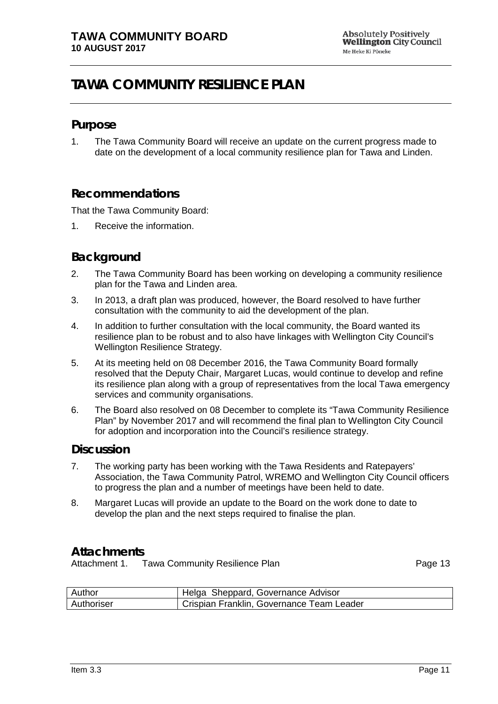# <span id="page-10-0"></span>**TAWA COMMUNITY RESILIENCE PLAN**

#### **Purpose**

1. The Tawa Community Board will receive an update on the current progress made to date on the development of a local community resilience plan for Tawa and Linden.

### **Recommendations**

That the Tawa Community Board:

1. Receive the information.

### **Background**

- 2. The Tawa Community Board has been working on developing a community resilience plan for the Tawa and Linden area.
- 3. In 2013, a draft plan was produced, however, the Board resolved to have further consultation with the community to aid the development of the plan.
- 4. In addition to further consultation with the local community, the Board wanted its resilience plan to be robust and to also have linkages with Wellington City Council's Wellington Resilience Strategy.
- 5. At its meeting held on 08 December 2016, the Tawa Community Board formally resolved that the Deputy Chair, Margaret Lucas, would continue to develop and refine its resilience plan along with a group of representatives from the local Tawa emergency services and community organisations.
- 6. The Board also resolved on 08 December to complete its "Tawa Community Resilience Plan" by November 2017 and will recommend the final plan to Wellington City Council for adoption and incorporation into the Council's resilience strategy.

#### **Discussion**

- 7. The working party has been working with the Tawa Residents and Ratepayers' Association, the Tawa Community Patrol, WREMO and Wellington City Council officers to progress the plan and a number of meetings have been held to date.
- 8. Margaret Lucas will provide an update to the Board on the work done to date to develop the plan and the next steps required to finalise the plan.

### **Attachments**

Attachment 1. Tawa Community Resilience Plan example and the Page [13](#page-12-0)

| Author     | Helga Sheppard, Governance Advisor        |
|------------|-------------------------------------------|
| Authoriser | Crispian Franklin, Governance Team Leader |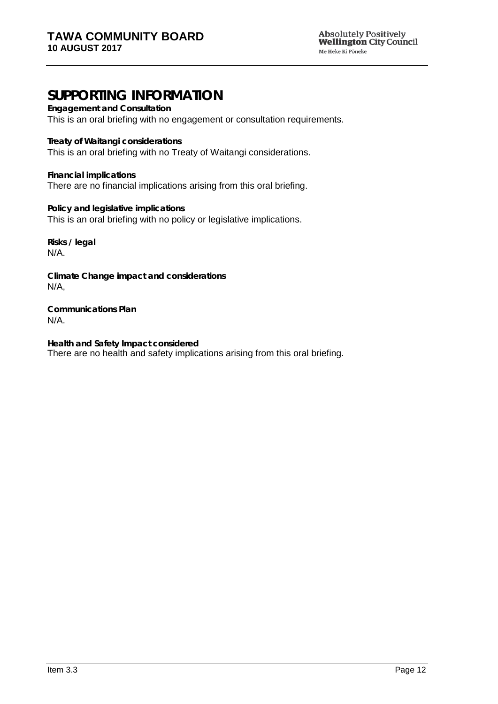# **SUPPORTING INFORMATION**

**Engagement and Consultation**

This is an oral briefing with no engagement or consultation requirements.

**Treaty of Waitangi considerations**

This is an oral briefing with no Treaty of Waitangi considerations.

**Financial implications** There are no financial implications arising from this oral briefing.

**Policy and legislative implications** This is an oral briefing with no policy or legislative implications.

**Risks / legal**  N/A.

**Climate Change impact and considerations** N/A,

**Communications Plan** N/A.

**Health and Safety Impact considered** There are no health and safety implications arising from this oral briefing.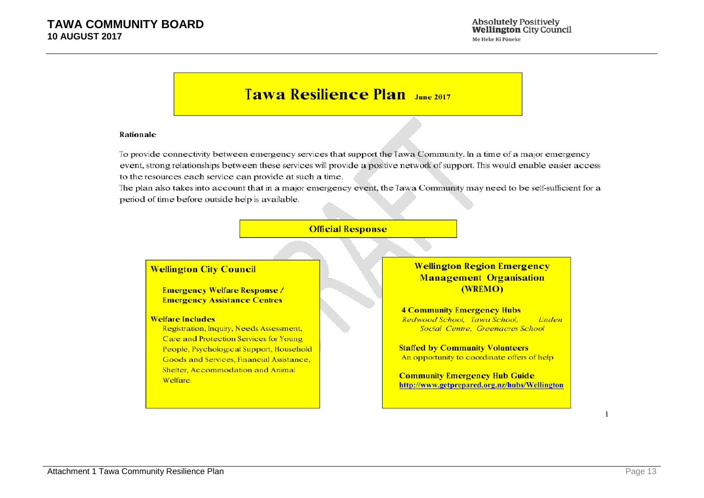# **Tawa Resilience Plan**

#### Rationale

To provide connectivity between emergency services that support the Tawa Community. In a time of a major emergency event, strong relationships between these services will provide a positive network of support. This would enable easier access to the resources each service can provide at such a time.

The plan also takes into account that in a major emergency event, the Tawa Community may need to be self-sufficient for a period of time before outside help is available.

#### **Official Response**

#### <span id="page-12-0"></span>**Wellington City Council**

**Emergency Welfare Response / Emergency Assistance Centres** 

#### **Welfare Includes**

Registration, Inquiry, Needs Assessment, Care and Protection Services for Young People, Psychological Support, Household Goods and Services, Financial Assistance, Shelter, Accommodation and Animal Welfare.

#### **Wellington Region Emergency Management Organisation** (WREMO)

**4 Community Emergency Hubs** Redwood School, Tawa School, Linden Social Centre, Greenacres School

**Staffed by Community Volunteers** An opportunity to coordinate offers of help

**Community Emergency Hub Guide** http://www.getprepared.org.nz/hubs/Wellington

 $\mathbf{1}$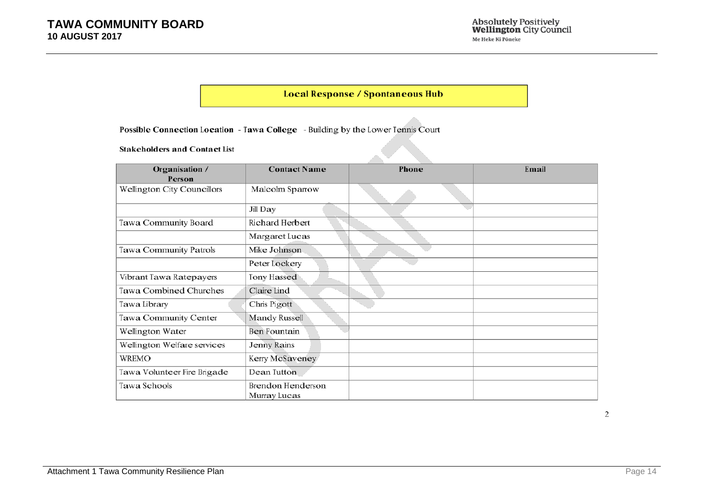#### **Local Response / Spontaneous Hub**

Possible Connection Location - Tawa College - Building by the Lower Tennis Court

#### **Stakeholders and Contact List**

| Organisation /<br>Person      | <b>Contact Name</b>                      | Phone | Email |
|-------------------------------|------------------------------------------|-------|-------|
| Wellington City Councillors   | Malcolm Sparrow                          |       |       |
|                               | Jill Day                                 |       |       |
| Tawa Community Board          | Richard Herbert                          |       |       |
|                               | Margaret Lucas                           |       |       |
| <b>Tawa Community Patrols</b> | Mike Johnson                             |       |       |
|                               | Peter Lockery                            |       |       |
| Vibrant Tawa Ratepayers       | Tony Hassed                              |       |       |
| <b>Tawa Combined Churches</b> | Claire Lind                              |       |       |
| Tawa Library                  | Chris Pigott                             |       |       |
| Tawa Community Center         | Mandy Russell                            |       |       |
| Wellington Water              | <b>Ben Fountain</b>                      |       |       |
| Wellington Welfare services   | Jenny Rains                              |       |       |
| <b>WREMO</b>                  | Kerry McSaveney                          |       |       |
| Tawa Volunteer Fire Brigade   | Dean Tutton                              |       |       |
| Tawa Schools                  | <b>Brendon Henderson</b><br>Murray Lucas |       |       |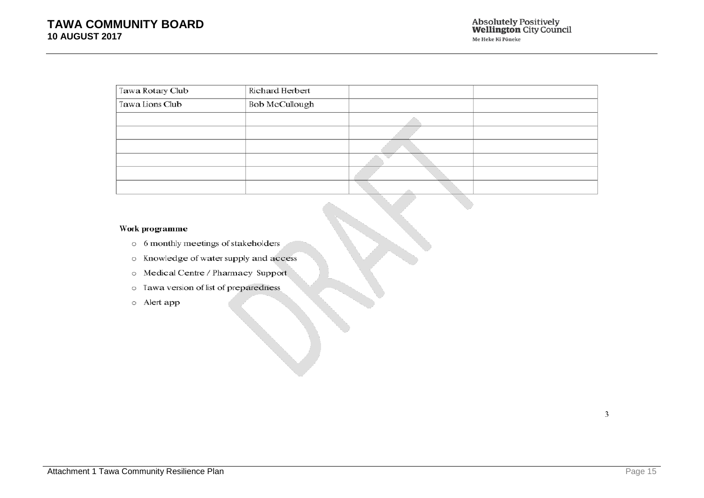| Tawa Rotary Club | Richard Herbert       |  |
|------------------|-----------------------|--|
| Tawa Lions Club  | <b>Bob McCullough</b> |  |
|                  |                       |  |
|                  |                       |  |
|                  |                       |  |
|                  |                       |  |
|                  |                       |  |
|                  |                       |  |

#### Work programme

- o 6 monthly meetings of stakeholders
- o Knowledge of water supply and access
- o Medical Centre / Pharmacy Support
- o Tawa version of list of preparedness
- o Alert app

 $\overline{3}$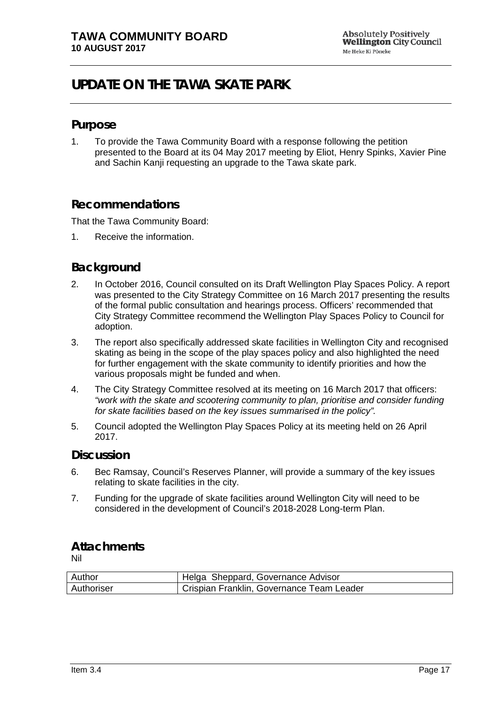# <span id="page-16-0"></span>**UPDATE ON THE TAWA SKATE PARK**

#### **Purpose**

1. To provide the Tawa Community Board with a response following the petition presented to the Board at its 04 May 2017 meeting by Eliot, Henry Spinks, Xavier Pine and Sachin Kanji requesting an upgrade to the Tawa skate park.

### **Recommendations**

That the Tawa Community Board:

1. Receive the information.

### **Background**

- 2. In October 2016, Council consulted on its Draft Wellington Play Spaces Policy. A report was presented to the City Strategy Committee on 16 March 2017 presenting the results of the formal public consultation and hearings process. Officers' recommended that City Strategy Committee recommend the Wellington Play Spaces Policy to Council for adoption.
- 3. The report also specifically addressed skate facilities in Wellington City and recognised skating as being in the scope of the play spaces policy and also highlighted the need for further engagement with the skate community to identify priorities and how the various proposals might be funded and when.
- 4. The City Strategy Committee resolved at its meeting on 16 March 2017 that officers: *"work with the skate and scootering community to plan, prioritise and consider funding for skate facilities based on the key issues summarised in the policy".*
- 5. Council adopted the Wellington Play Spaces Policy at its meeting held on 26 April 2017.

#### **Discussion**

- 6. Bec Ramsay, Council's Reserves Planner, will provide a summary of the key issues relating to skate facilities in the city.
- 7. Funding for the upgrade of skate facilities around Wellington City will need to be considered in the development of Council's 2018-2028 Long-term Plan.

## **Attachments**

| Author     | Helga Sheppard, Governance Advisor        |
|------------|-------------------------------------------|
| Authoriser | Crispian Franklin, Governance Team Leader |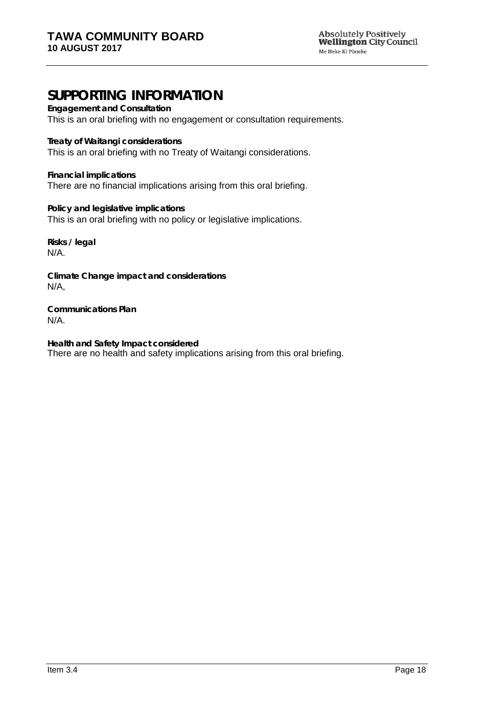# **SUPPORTING INFORMATION**

**Engagement and Consultation**

This is an oral briefing with no engagement or consultation requirements.

**Treaty of Waitangi considerations**

This is an oral briefing with no Treaty of Waitangi considerations.

**Financial implications** There are no financial implications arising from this oral briefing.

**Policy and legislative implications** This is an oral briefing with no policy or legislative implications.

**Risks / legal**  N/A.

**Climate Change impact and considerations** N/A,

**Communications Plan** N/A.

**Health and Safety Impact considered** There are no health and safety implications arising from this oral briefing.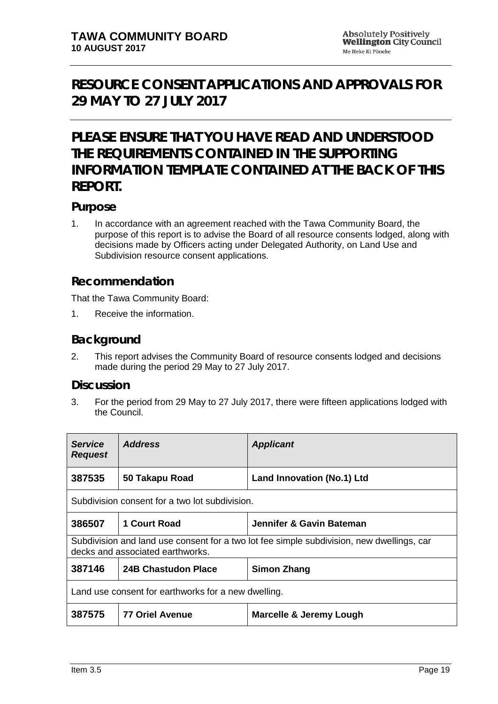# <span id="page-18-0"></span>**RESOURCE CONSENT APPLICATIONS AND APPROVALS FOR 29 MAY TO 27 JULY 2017**

# **PLEASE ENSURE THAT YOU HAVE READ AND UNDERSTOOD THE REQUIREMENTS CONTAINED IN THE SUPPORTING INFORMATION TEMPLATE CONTAINED AT THE BACK OF THIS REPORT.**

### **Purpose**

1. In accordance with an agreement reached with the Tawa Community Board, the purpose of this report is to advise the Board of all resource consents lodged, along with decisions made by Officers acting under Delegated Authority, on Land Use and Subdivision resource consent applications.

### **Recommendation**

That the Tawa Community Board:

1. Receive the information.

### **Background**

2. This report advises the Community Board of resource consents lodged and decisions made during the period 29 May to 27 July 2017.

#### **Discussion**

3. For the period from 29 May to 27 July 2017, there were fifteen applications lodged with the Council.

| <b>Service</b><br><b>Request</b>                                                                                              | <b>Address</b>             | <b>Applicant</b>                   |
|-------------------------------------------------------------------------------------------------------------------------------|----------------------------|------------------------------------|
| 387535                                                                                                                        | 50 Takapu Road             | Land Innovation (No.1) Ltd         |
| Subdivision consent for a two lot subdivision.                                                                                |                            |                                    |
| 386507                                                                                                                        | 1 Court Road               | Jennifer & Gavin Bateman           |
| Subdivision and land use consent for a two lot fee simple subdivision, new dwellings, car<br>decks and associated earthworks. |                            |                                    |
| 387146                                                                                                                        | <b>24B Chastudon Place</b> | <b>Simon Zhang</b>                 |
| Land use consent for earthworks for a new dwelling.                                                                           |                            |                                    |
| 387575                                                                                                                        | <b>77 Oriel Avenue</b>     | <b>Marcelle &amp; Jeremy Lough</b> |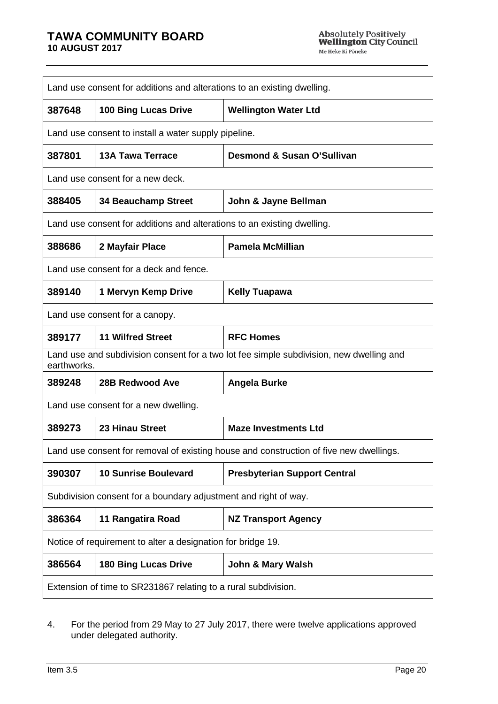#### **TAWA COMMUNITY BOARD 10 AUGUST 2017**

| Land use consent for additions and alterations to an existing dwelling.                                |                                                                         |                                                                                        |  |
|--------------------------------------------------------------------------------------------------------|-------------------------------------------------------------------------|----------------------------------------------------------------------------------------|--|
| 387648                                                                                                 | <b>100 Bing Lucas Drive</b>                                             | <b>Wellington Water Ltd</b>                                                            |  |
| Land use consent to install a water supply pipeline.                                                   |                                                                         |                                                                                        |  |
| 387801                                                                                                 | <b>13A Tawa Terrace</b>                                                 | <b>Desmond &amp; Susan O'Sullivan</b>                                                  |  |
|                                                                                                        | Land use consent for a new deck.                                        |                                                                                        |  |
| 388405                                                                                                 | <b>34 Beauchamp Street</b>                                              | John & Jayne Bellman                                                                   |  |
|                                                                                                        | Land use consent for additions and alterations to an existing dwelling. |                                                                                        |  |
| 388686                                                                                                 | 2 Mayfair Place                                                         | <b>Pamela McMillian</b>                                                                |  |
| Land use consent for a deck and fence.                                                                 |                                                                         |                                                                                        |  |
| 389140                                                                                                 | 1 Mervyn Kemp Drive                                                     | <b>Kelly Tuapawa</b>                                                                   |  |
| Land use consent for a canopy.                                                                         |                                                                         |                                                                                        |  |
| 389177                                                                                                 | <b>11 Wilfred Street</b>                                                | <b>RFC Homes</b>                                                                       |  |
| Land use and subdivision consent for a two lot fee simple subdivision, new dwelling and<br>earthworks. |                                                                         |                                                                                        |  |
| 389248                                                                                                 | <b>28B Redwood Ave</b>                                                  | <b>Angela Burke</b>                                                                    |  |
| Land use consent for a new dwelling.                                                                   |                                                                         |                                                                                        |  |
| 389273                                                                                                 | 23 Hinau Street                                                         | <b>Maze Investments Ltd</b>                                                            |  |
|                                                                                                        |                                                                         | Land use consent for removal of existing house and construction of five new dwellings. |  |
| 390307                                                                                                 | <b>10 Sunrise Boulevard</b>                                             | <b>Presbyterian Support Central</b>                                                    |  |
|                                                                                                        | Subdivision consent for a boundary adjustment and right of way.         |                                                                                        |  |
| 386364                                                                                                 | 11 Rangatira Road                                                       | <b>NZ Transport Agency</b>                                                             |  |
| Notice of requirement to alter a designation for bridge 19.                                            |                                                                         |                                                                                        |  |
| 386564                                                                                                 | <b>180 Bing Lucas Drive</b>                                             | <b>John &amp; Mary Walsh</b>                                                           |  |
| Extension of time to SR231867 relating to a rural subdivision.                                         |                                                                         |                                                                                        |  |

4. For the period from 29 May to 27 July 2017, there were twelve applications approved under delegated authority.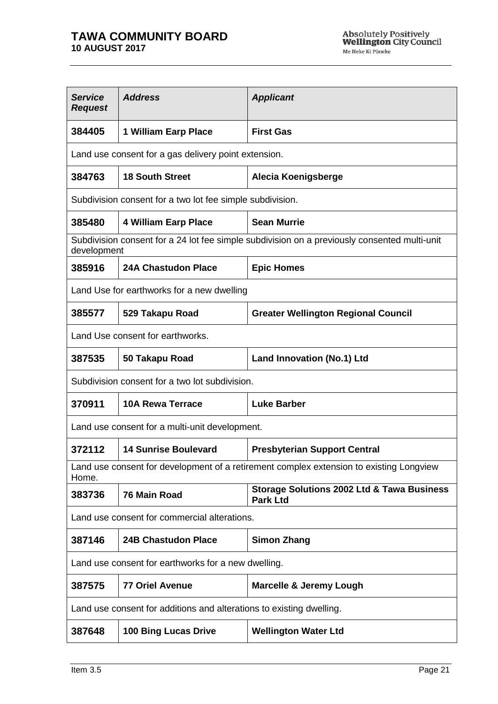| <b>Service</b><br><b>Request</b> | <b>Address</b>                                                       | <b>Applicant</b>                                                                             |  |
|----------------------------------|----------------------------------------------------------------------|----------------------------------------------------------------------------------------------|--|
| 384405                           | 1 William Earp Place                                                 | <b>First Gas</b>                                                                             |  |
|                                  | Land use consent for a gas delivery point extension.                 |                                                                                              |  |
| 384763                           | <b>18 South Street</b>                                               | Alecia Koenigsberge                                                                          |  |
|                                  | Subdivision consent for a two lot fee simple subdivision.            |                                                                                              |  |
| 385480                           | <b>4 William Earp Place</b>                                          | <b>Sean Murrie</b>                                                                           |  |
| development                      |                                                                      | Subdivision consent for a 24 lot fee simple subdivision on a previously consented multi-unit |  |
| 385916                           | <b>24A Chastudon Place</b>                                           | <b>Epic Homes</b>                                                                            |  |
|                                  | Land Use for earthworks for a new dwelling                           |                                                                                              |  |
| 385577                           | 529 Takapu Road                                                      | <b>Greater Wellington Regional Council</b>                                                   |  |
|                                  | Land Use consent for earthworks.                                     |                                                                                              |  |
| 387535                           | 50 Takapu Road                                                       | <b>Land Innovation (No.1) Ltd</b>                                                            |  |
|                                  | Subdivision consent for a two lot subdivision.                       |                                                                                              |  |
| 370911                           | <b>10A Rewa Terrace</b>                                              | <b>Luke Barber</b>                                                                           |  |
|                                  | Land use consent for a multi-unit development.                       |                                                                                              |  |
| 372112                           | <b>14 Sunrise Boulevard</b>                                          | <b>Presbyterian Support Central</b>                                                          |  |
| Home.                            |                                                                      | Land use consent for development of a retirement complex extension to existing Longview      |  |
| 383736                           | 76 Main Road                                                         | <b>Storage Solutions 2002 Ltd &amp; Tawa Business</b><br><b>Park Ltd</b>                     |  |
|                                  | Land use consent for commercial alterations.                         |                                                                                              |  |
| 387146                           | <b>24B Chastudon Place</b>                                           | <b>Simon Zhang</b>                                                                           |  |
|                                  | Land use consent for earthworks for a new dwelling.                  |                                                                                              |  |
| 387575                           | <b>77 Oriel Avenue</b>                                               | <b>Marcelle &amp; Jeremy Lough</b>                                                           |  |
|                                  | Land use consent for additions and alterations to existing dwelling. |                                                                                              |  |
| 387648                           | <b>100 Bing Lucas Drive</b>                                          | <b>Wellington Water Ltd</b>                                                                  |  |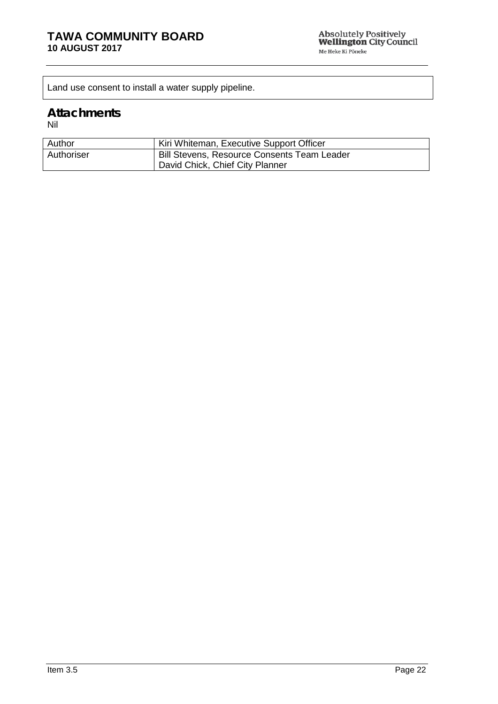Land use consent to install a water supply pipeline.

### **Attachments**

| Author     | Kiri Whiteman, Executive Support Officer           |
|------------|----------------------------------------------------|
| Authoriser | <b>Bill Stevens, Resource Consents Team Leader</b> |
|            | David Chick, Chief City Planner                    |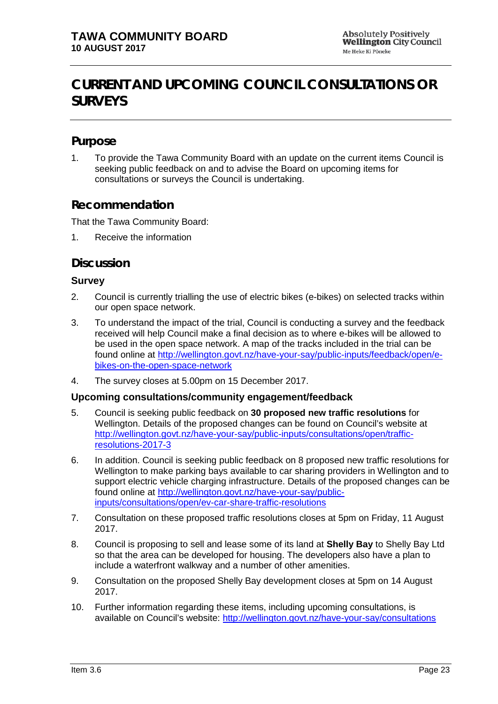# <span id="page-22-0"></span>**CURRENT AND UPCOMING COUNCIL CONSULTATIONS OR SURVEYS**

## **Purpose**

1. To provide the Tawa Community Board with an update on the current items Council is seeking public feedback on and to advise the Board on upcoming items for consultations or surveys the Council is undertaking.

### **Recommendation**

That the Tawa Community Board:

1. Receive the information

### **Discussion**

#### **Survey**

- 2. Council is currently trialling the use of electric bikes (e-bikes) on selected tracks within our open space network.
- 3. To understand the impact of the trial, Council is conducting a survey and the feedback received will help Council make a final decision as to where e-bikes will be allowed to be used in the open space network. A map of the tracks included in the trial can be found online at [http://wellington.govt.nz/have-your-say/public-inputs/feedback/open/e](http://wellington.govt.nz/have-your-say/public-inputs/feedback/open/e-bikes-on-the-open-space-network)[bikes-on-the-open-space-network](http://wellington.govt.nz/have-your-say/public-inputs/feedback/open/e-bikes-on-the-open-space-network)
- 4. The survey closes at 5.00pm on 15 December 2017.

#### **Upcoming consultations/community engagement/feedback**

- 5. Council is seeking public feedback on **30 proposed new traffic resolutions** for Wellington. Details of the proposed changes can be found on Council's website at [http://wellington.govt.nz/have-your-say/public-inputs/consultations/open/traffic](http://wellington.govt.nz/have-your-say/public-inputs/consultations/open/traffic-resolutions-2017-3)[resolutions-2017-3](http://wellington.govt.nz/have-your-say/public-inputs/consultations/open/traffic-resolutions-2017-3)
- 6. In addition. Council is seeking public feedback on 8 proposed new traffic resolutions for Wellington to make parking bays available to car sharing providers in Wellington and to support electric vehicle charging infrastructure. Details of the proposed changes can be found online at [http://wellington.govt.nz/have-your-say/public](http://wellington.govt.nz/have-your-say/public-inputs/consultations/open/ev-car-share-traffic-resolutions)[inputs/consultations/open/ev-car-share-traffic-resolutions](http://wellington.govt.nz/have-your-say/public-inputs/consultations/open/ev-car-share-traffic-resolutions)
- 7. Consultation on these proposed traffic resolutions closes at 5pm on Friday, 11 August 2017.
- 8. Council is proposing to sell and lease some of its land at **Shelly Bay** to Shelly Bay Ltd so that the area can be developed for housing. The developers also have a plan to include a waterfront walkway and a number of other amenities.
- 9. Consultation on the proposed Shelly Bay development closes at 5pm on 14 August 2017.
- 10. Further information regarding these items, including upcoming consultations, is available on Council's website:<http://wellington.govt.nz/have-your-say/consultations>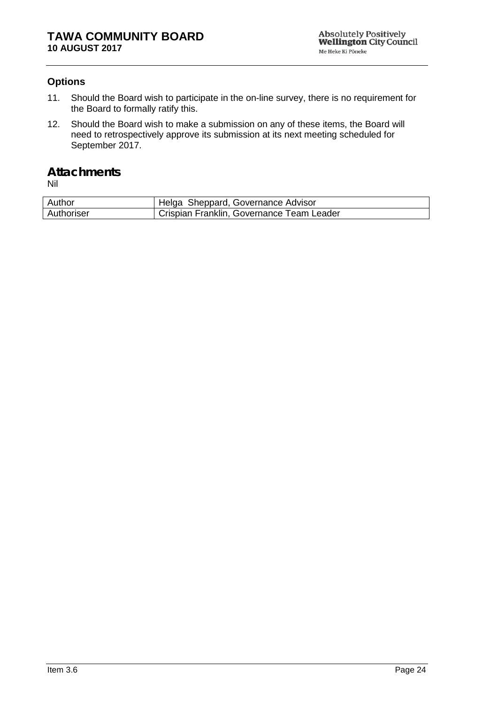### **Options**

- 11. Should the Board wish to participate in the on-line survey, there is no requirement for the Board to formally ratify this.
- 12. Should the Board wish to make a submission on any of these items, the Board will need to retrospectively approve its submission at its next meeting scheduled for September 2017.

### **Attachments**

| Author     | Helga Sheppard, Governance Advisor        |
|------------|-------------------------------------------|
| Authoriser | Crispian Franklin, Governance Team Leader |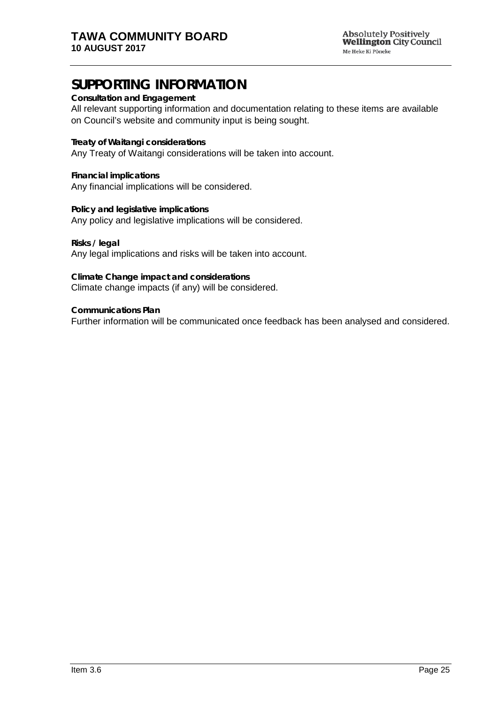# **SUPPORTING INFORMATION**

#### **Consultation and Engagement**

All relevant supporting information and documentation relating to these items are available on Council's website and community input is being sought.

**Treaty of Waitangi considerations**

Any Treaty of Waitangi considerations will be taken into account.

**Financial implications** Any financial implications will be considered.

**Policy and legislative implications** Any policy and legislative implications will be considered.

**Risks / legal**  Any legal implications and risks will be taken into account.

**Climate Change impact and considerations** Climate change impacts (if any) will be considered.

**Communications Plan** Further information will be communicated once feedback has been analysed and considered.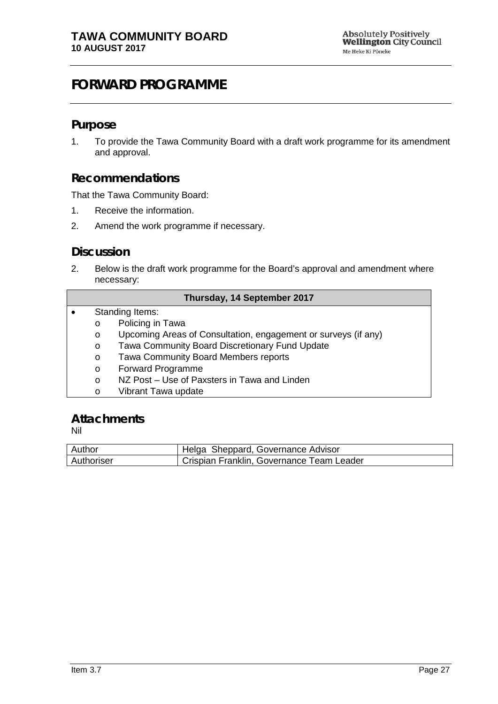# <span id="page-26-0"></span>**FORWARD PROGRAMME**

#### **Purpose**

1. To provide the Tawa Community Board with a draft work programme for its amendment and approval.

### **Recommendations**

That the Tawa Community Board:

- 1. Receive the information.
- 2. Amend the work programme if necessary.

### **Discussion**

2. Below is the draft work programme for the Board's approval and amendment where necessary:

|           | Thursday, 14 September 2017 |                                                                |  |  |  |
|-----------|-----------------------------|----------------------------------------------------------------|--|--|--|
| $\bullet$ |                             | Standing Items:                                                |  |  |  |
|           | $\circ$                     | Policing in Tawa                                               |  |  |  |
|           | $\circ$                     | Upcoming Areas of Consultation, engagement or surveys (if any) |  |  |  |
|           | $\circ$                     | Tawa Community Board Discretionary Fund Update                 |  |  |  |
|           | $\circ$                     | Tawa Community Board Members reports                           |  |  |  |
|           | $\circ$                     | Forward Programme                                              |  |  |  |
|           | $\circ$                     | NZ Post – Use of Paxsters in Tawa and Linden                   |  |  |  |
|           | $\circ$                     | Vibrant Tawa update                                            |  |  |  |

### **Attachments**

| Author     | Helga Sheppard, Governance Advisor        |
|------------|-------------------------------------------|
| Authoriser | Crispian Franklin, Governance Team Leader |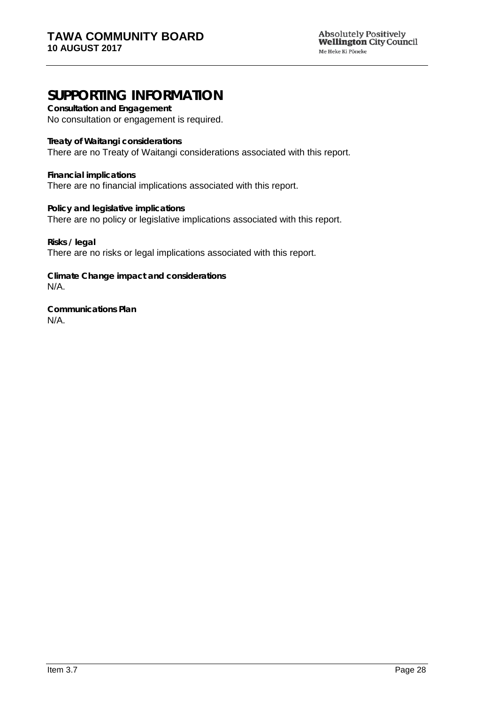# **SUPPORTING INFORMATION**

**Consultation and Engagement** No consultation or engagement is required.

**Treaty of Waitangi considerations**

There are no Treaty of Waitangi considerations associated with this report.

**Financial implications** There are no financial implications associated with this report.

**Policy and legislative implications** There are no policy or legislative implications associated with this report.

**Risks / legal**  There are no risks or legal implications associated with this report.

**Climate Change impact and considerations** N/A.

**Communications Plan** N/A.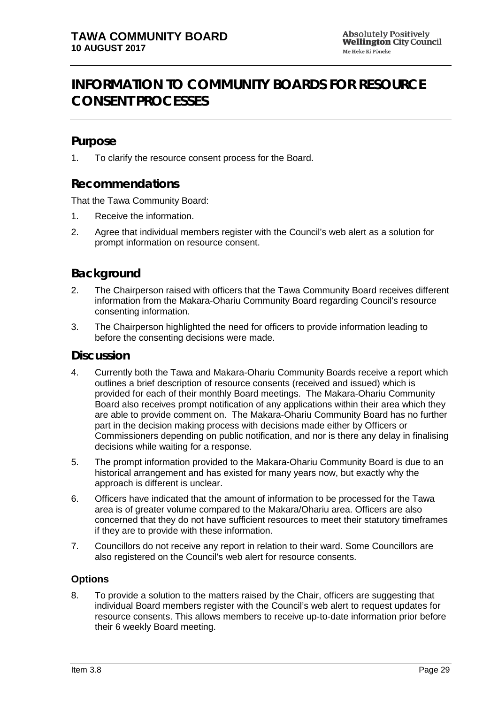# <span id="page-28-0"></span>**INFORMATION TO COMMUNITY BOARDS FOR RESOURCE CONSENT PROCESSES**

## **Purpose**

1. To clarify the resource consent process for the Board.

## **Recommendations**

That the Tawa Community Board:

- 1. Receive the information.
- 2. Agree that individual members register with the Council's web alert as a solution for prompt information on resource consent.

### **Background**

- 2. The Chairperson raised with officers that the Tawa Community Board receives different information from the Makara-Ohariu Community Board regarding Council's resource consenting information.
- 3. The Chairperson highlighted the need for officers to provide information leading to before the consenting decisions were made.

### **Discussion**

- 4. Currently both the Tawa and Makara-Ohariu Community Boards receive a report which outlines a brief description of resource consents (received and issued) which is provided for each of their monthly Board meetings. The Makara-Ohariu Community Board also receives prompt notification of any applications within their area which they are able to provide comment on. The Makara-Ohariu Community Board has no further part in the decision making process with decisions made either by Officers or Commissioners depending on public notification, and nor is there any delay in finalising decisions while waiting for a response.
- 5. The prompt information provided to the Makara-Ohariu Community Board is due to an historical arrangement and has existed for many years now, but exactly why the approach is different is unclear.
- 6. Officers have indicated that the amount of information to be processed for the Tawa area is of greater volume compared to the Makara/Ohariu area. Officers are also concerned that they do not have sufficient resources to meet their statutory timeframes if they are to provide with these information.
- 7. Councillors do not receive any report in relation to their ward. Some Councillors are also registered on the Council's web alert for resource consents.

#### **Options**

8. To provide a solution to the matters raised by the Chair, officers are suggesting that individual Board members register with the Council's web alert to request updates for resource consents. This allows members to receive up-to-date information prior before their 6 weekly Board meeting.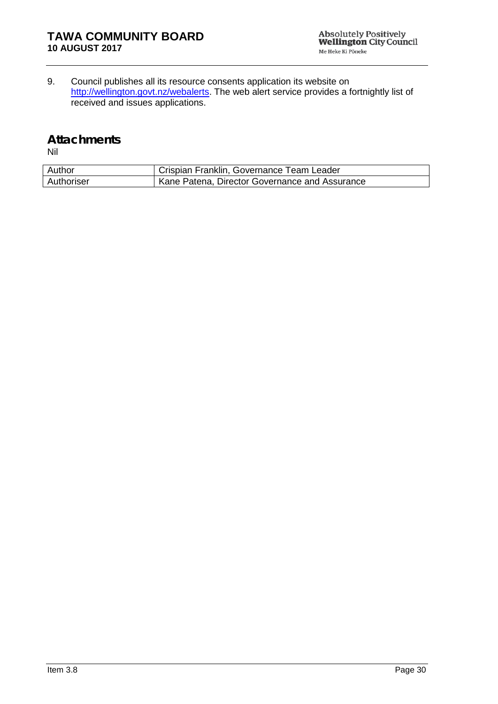9. Council publishes all its resource consents application its website on http://wellington.govt.nz/webalerts</u>. The web alert service provides a fortnightly list of received and issues applications.

#### **Attachments**

| Author     | Crispian Franklin, Governance Team Leader      |
|------------|------------------------------------------------|
| Authoriser | Kane Patena, Director Governance and Assurance |